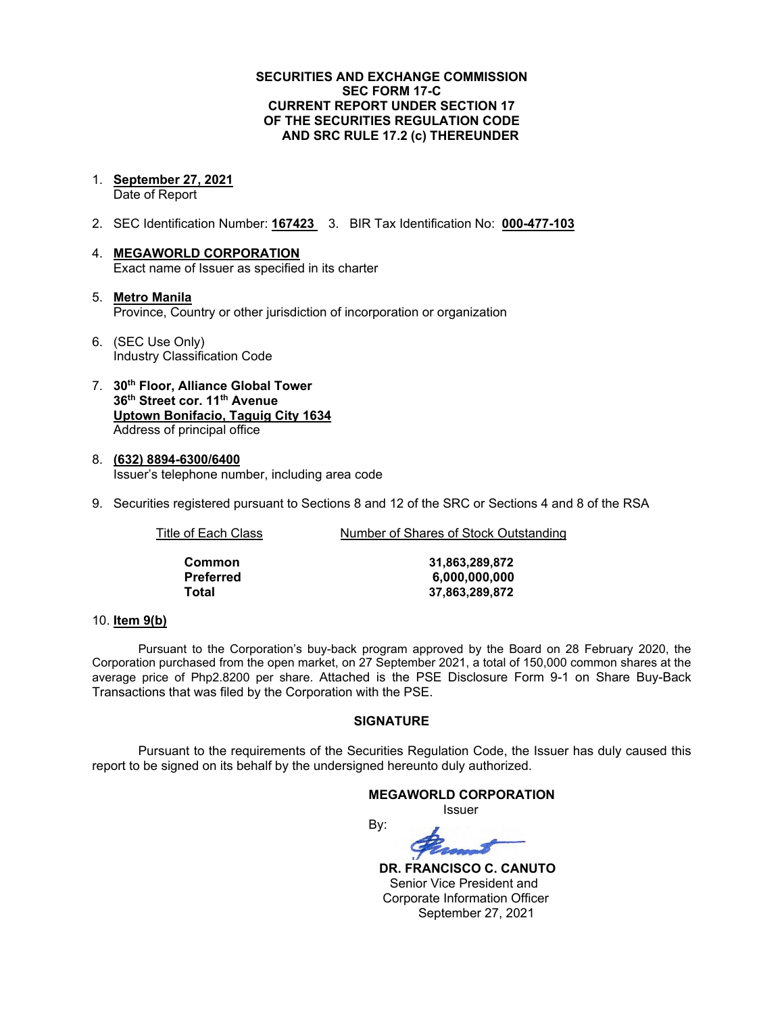### **SECURITIES AND EXCHANGE COMMISSION SEC FORM 17-C CURRENT REPORT UNDER SECTION 17 OF THE SECURITIES REGULATION CODE AND SRC RULE 17.2 (c) THEREUNDER**

- 1. **September 27, 2021** Date of Report
- 2. SEC Identification Number: **167423** 3. BIR Tax Identification No: **000-477-103**
- 4. **MEGAWORLD CORPORATION** Exact name of Issuer as specified in its charter
- 5. **Metro Manila** Province, Country or other jurisdiction of incorporation or organization
- 6. (SEC Use Only) Industry Classification Code
- 7. **30th Floor, Alliance Global Tower 36th Street cor. 11th Avenue Uptown Bonifacio, Taguig City 1634** Address of principal office
- 8. **(632) 8894-6300/6400** Issuer's telephone number, including area code
- 9. Securities registered pursuant to Sections 8 and 12 of the SRC or Sections 4 and 8 of the RSA

| Title of Each Class | Number of Shares of Stock Outstanding |  |
|---------------------|---------------------------------------|--|
|                     |                                       |  |
| Common              | 31,863,289,872                        |  |

**Preferred 6,000,000,000 Total 37,863,289,872**

### 10. **Item 9(b)**

Pursuant to the Corporation's buy-back program approved by the Board on 28 February 2020, the Corporation purchased from the open market, on 27 September 2021, a total of 150,000 common shares at the average price of Php2.8200 per share. Attached is the PSE Disclosure Form 9-1 on Share Buy-Back Transactions that was filed by the Corporation with the PSE.

### **SIGNATURE**

Pursuant to the requirements of the Securities Regulation Code, the Issuer has duly caused this report to be signed on its behalf by the undersigned hereunto duly authorized.

# **MEGAWORLD CORPORATION** Issuer

By:

 **DR. FRANCISCO C. CANUTO** Senior Vice President and Corporate Information Officer September 27, 2021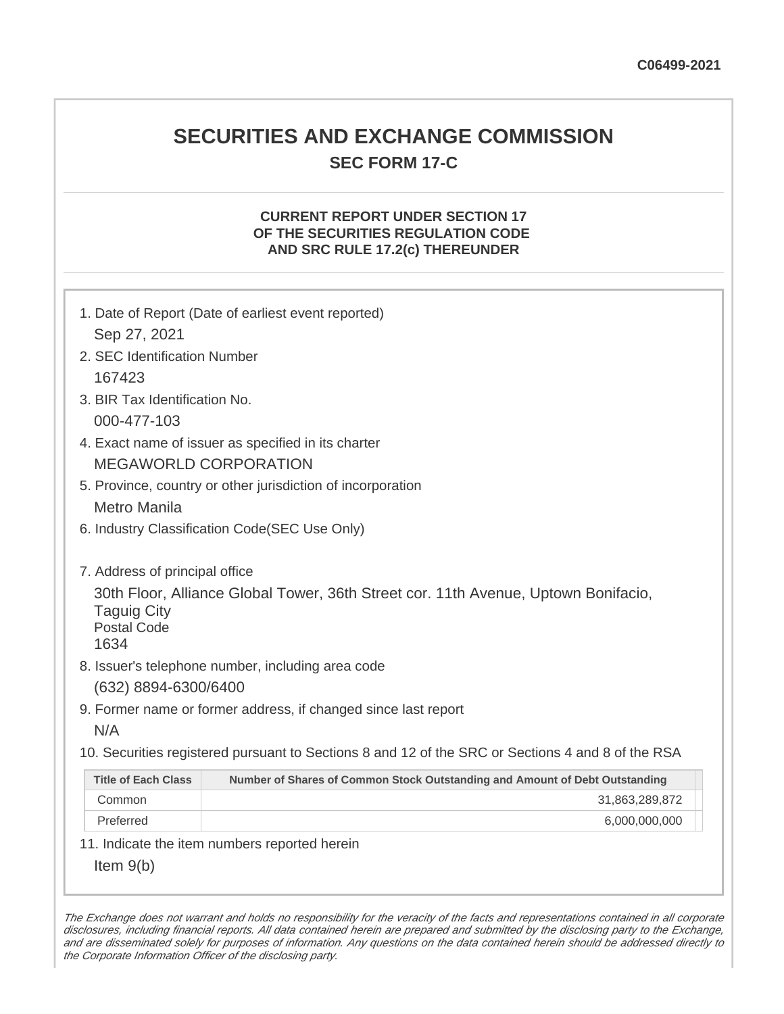# **SECURITIES AND EXCHANGE COMMISSION SEC FORM 17-C**

# **CURRENT REPORT UNDER SECTION 17 OF THE SECURITIES REGULATION CODE AND SRC RULE 17.2(c) THEREUNDER**

| Sep 27, 2021                                                                       | 1. Date of Report (Date of earliest event reported)                                                                                     |
|------------------------------------------------------------------------------------|-----------------------------------------------------------------------------------------------------------------------------------------|
| 2. SEC Identification Number                                                       |                                                                                                                                         |
| 167423                                                                             |                                                                                                                                         |
| 3. BIR Tax Identification No.                                                      |                                                                                                                                         |
| 000-477-103                                                                        |                                                                                                                                         |
|                                                                                    | 4. Exact name of issuer as specified in its charter                                                                                     |
| <b>MEGAWORLD CORPORATION</b>                                                       |                                                                                                                                         |
|                                                                                    | 5. Province, country or other jurisdiction of incorporation                                                                             |
| <b>Metro Manila</b>                                                                |                                                                                                                                         |
|                                                                                    | 6. Industry Classification Code(SEC Use Only)                                                                                           |
| 7. Address of principal office<br><b>Taguig City</b><br><b>Postal Code</b><br>1634 | 30th Floor, Alliance Global Tower, 36th Street cor. 11th Avenue, Uptown Bonifacio,<br>8. Issuer's telephone number, including area code |
| (632) 8894-6300/6400                                                               |                                                                                                                                         |
|                                                                                    | 9. Former name or former address, if changed since last report                                                                          |
| N/A                                                                                |                                                                                                                                         |
|                                                                                    | 10. Securities registered pursuant to Sections 8 and 12 of the SRC or Sections 4 and 8 of the RSA                                       |
| <b>Title of Each Class</b>                                                         | Number of Shares of Common Stock Outstanding and Amount of Debt Outstanding                                                             |
| Common                                                                             | 31,863,289,872                                                                                                                          |
| Preferred                                                                          | 6,000,000,000                                                                                                                           |
|                                                                                    | 11. Indicate the item numbers reported herein                                                                                           |
| Item $9(b)$                                                                        |                                                                                                                                         |

The Exchange does not warrant and holds no responsibility for the veracity of the facts and representations contained in all corporate disclosures, including financial reports. All data contained herein are prepared and submitted by the disclosing party to the Exchange, and are disseminated solely for purposes of information. Any questions on the data contained herein should be addressed directly to the Corporate Information Officer of the disclosing party.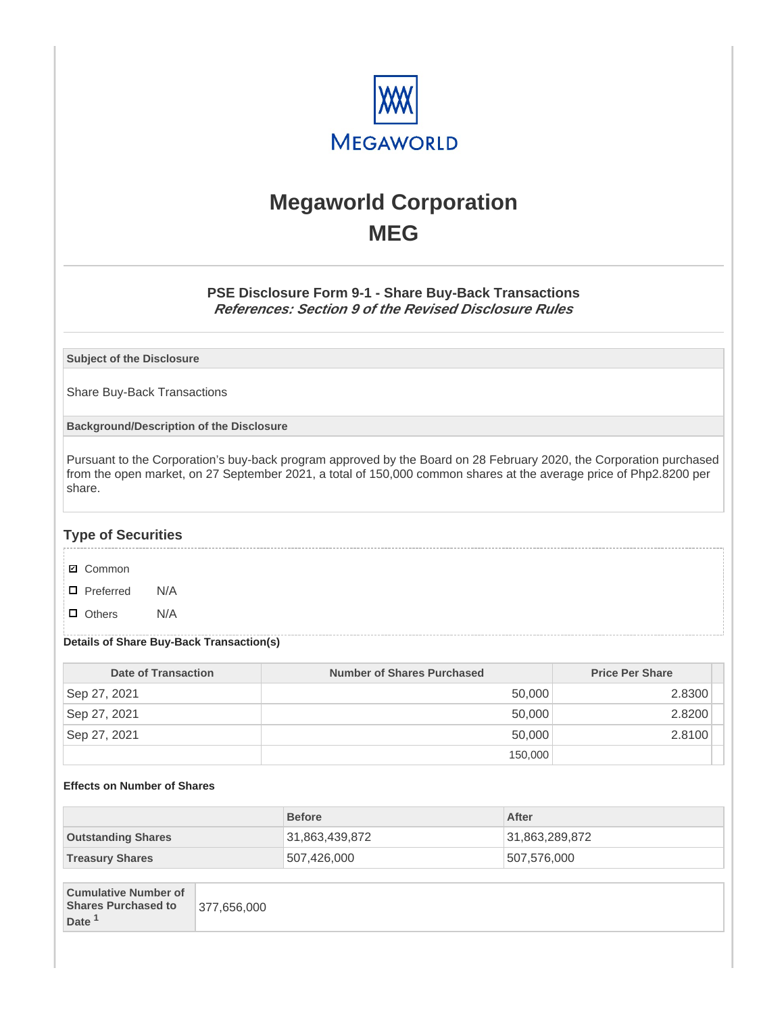

# **Megaworld Corporation MEG**

# **PSE Disclosure Form 9-1 - Share Buy-Back Transactions References: Section 9 of the Revised Disclosure Rules**

**Subject of the Disclosure**

Share Buy-Back Transactions

**Background/Description of the Disclosure**

Pursuant to the Corporation's buy-back program approved by the Board on 28 February 2020, the Corporation purchased from the open market, on 27 September 2021, a total of 150,000 common shares at the average price of Php2.8200 per share.

## **Type of Securities**

- **☑** Common
- □ Preferred N/A
- D Others N/A

### **Details of Share Buy-Back Transaction(s)**

| Date of Transaction | Number of Shares Purchased | <b>Price Per Share</b> |
|---------------------|----------------------------|------------------------|
| Sep 27, 2021        | 50,000                     | 2.8300                 |
| Sep 27, 2021        | 50.000                     | 2.8200                 |
| Sep 27, 2021        | 50.000                     | 2.8100                 |
|                     | 150,000                    |                        |

#### **Effects on Number of Shares**

|                             | <b>Before</b>  | After          |
|-----------------------------|----------------|----------------|
| <b>Outstanding Shares</b>   | 31,863,439,872 | 31,863,289,872 |
| <b>Treasury Shares</b>      | 507,426,000    | 507,576,000    |
|                             |                |                |
| <b>Cumulative Number of</b> |                |                |

| <b>Cultiviative Nutfliper OF</b> |             |
|----------------------------------|-------------|
| <b>Shares Purchased to</b>       | 377.656.000 |
| Date <sup>1</sup>                |             |